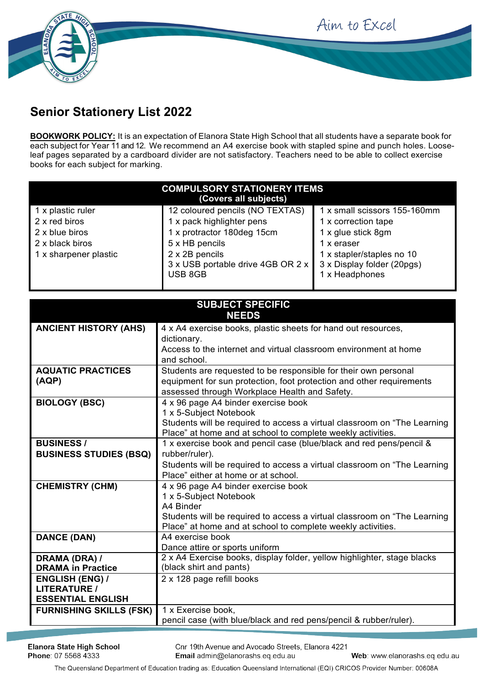



## **Senior Stationery List 2022**

**BOOKWORK POLICY:** It is an expectation of Elanora State High School that all students have a separate book for each subject for Year 11 and 12. We recommend an A4 exercise book with stapled spine and punch holes. Looseleaf pages separated by a cardboard divider are not satisfactory. Teachers need to be able to collect exercise books for each subject for marking.

| <b>COMPULSORY STATIONERY ITEMS</b><br>(Covers all subjects) |                                   |                              |  |  |
|-------------------------------------------------------------|-----------------------------------|------------------------------|--|--|
| 1 x plastic ruler                                           | 12 coloured pencils (NO TEXTAS)   | 1 x small scissors 155-160mm |  |  |
| 2 x red biros                                               | 1 x pack highlighter pens         | 1 x correction tape          |  |  |
| 2 x blue biros                                              | 1 x protractor 180deg 15cm        | 1 x glue stick 8gm           |  |  |
| 2 x black biros                                             | 5 x HB pencils                    | 1 x eraser                   |  |  |
| 1 x sharpener plastic                                       | 2 x 2B pencils                    | 1 x stapler/staples no 10    |  |  |
|                                                             | 3 x USB portable drive 4GB OR 2 x | 3 x Display folder (20pgs)   |  |  |
|                                                             | USB 8GB                           | 1 x Headphones               |  |  |
|                                                             |                                   |                              |  |  |

| <b>SUBJECT SPECIFIC</b>                       |                                                                                                    |  |  |  |
|-----------------------------------------------|----------------------------------------------------------------------------------------------------|--|--|--|
|                                               | <b>NEEDS</b>                                                                                       |  |  |  |
| <b>ANCIENT HISTORY (AHS)</b>                  | 4 x A4 exercise books, plastic sheets for hand out resources,                                      |  |  |  |
|                                               | dictionary.                                                                                        |  |  |  |
|                                               | Access to the internet and virtual classroom environment at home                                   |  |  |  |
|                                               | and school.                                                                                        |  |  |  |
| <b>AQUATIC PRACTICES</b>                      | Students are requested to be responsible for their own personal                                    |  |  |  |
| (AQP)                                         | equipment for sun protection, foot protection and other requirements                               |  |  |  |
|                                               | assessed through Workplace Health and Safety.                                                      |  |  |  |
| <b>BIOLOGY (BSC)</b>                          | 4 x 96 page A4 binder exercise book                                                                |  |  |  |
|                                               | 1 x 5-Subject Notebook                                                                             |  |  |  |
|                                               | Students will be required to access a virtual classroom on "The Learning"                          |  |  |  |
|                                               | Place" at home and at school to complete weekly activities.                                        |  |  |  |
| <b>BUSINESS/</b>                              | 1 x exercise book and pencil case (blue/black and red pens/pencil &                                |  |  |  |
| <b>BUSINESS STUDIES (BSQ)</b>                 | rubber/ruler).                                                                                     |  |  |  |
|                                               | Students will be required to access a virtual classroom on "The Learning                           |  |  |  |
|                                               | Place" either at home or at school.                                                                |  |  |  |
| <b>CHEMISTRY (CHM)</b>                        | 4 x 96 page A4 binder exercise book                                                                |  |  |  |
|                                               | 1 x 5-Subject Notebook                                                                             |  |  |  |
|                                               | A4 Binder                                                                                          |  |  |  |
|                                               | Students will be required to access a virtual classroom on "The Learning"                          |  |  |  |
|                                               | Place" at home and at school to complete weekly activities.                                        |  |  |  |
| <b>DANCE (DAN)</b>                            | A4 exercise book                                                                                   |  |  |  |
|                                               | Dance attire or sports uniform                                                                     |  |  |  |
| DRAMA (DRA) /<br><b>DRAMA in Practice</b>     | 2 x A4 Exercise books, display folder, yellow highlighter, stage blacks<br>(black shirt and pants) |  |  |  |
|                                               |                                                                                                    |  |  |  |
| <b>ENGLISH (ENG) /</b><br><b>LITERATURE /</b> | 2 x 128 page refill books                                                                          |  |  |  |
| <b>ESSENTIAL ENGLISH</b>                      |                                                                                                    |  |  |  |
| <b>FURNISHING SKILLS (FSK)</b>                | 1 x Exercise book,                                                                                 |  |  |  |
|                                               | pencil case (with blue/black and red pens/pencil & rubber/ruler).                                  |  |  |  |
|                                               |                                                                                                    |  |  |  |

Cnr 19th Avenue and Avocado Streets, Elanora 4221 Email admin@elanorashs.eq.edu.au

The Queensland Department of Education trading as: Education Queensland International (EQI) CRICOS Provider Number: 00608A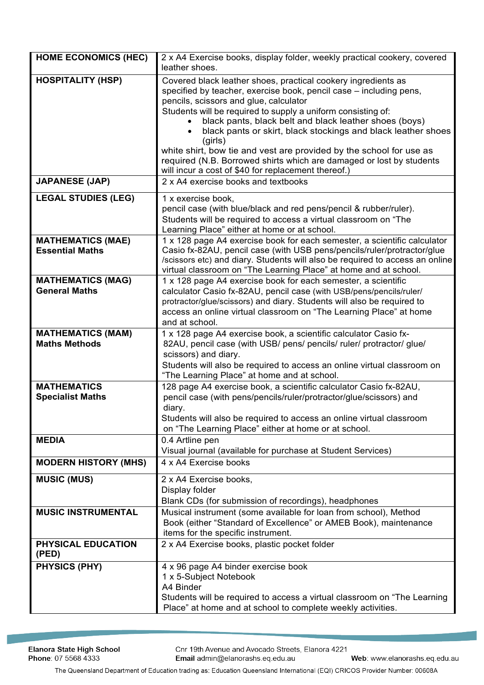| <b>HOME ECONOMICS (HEC)</b>                        | 2 x A4 Exercise books, display folder, weekly practical cookery, covered<br>leather shoes.                                                                                                                                                                                                                                                                                                                                                                                                                                                                                                |
|----------------------------------------------------|-------------------------------------------------------------------------------------------------------------------------------------------------------------------------------------------------------------------------------------------------------------------------------------------------------------------------------------------------------------------------------------------------------------------------------------------------------------------------------------------------------------------------------------------------------------------------------------------|
| <b>HOSPITALITY (HSP)</b>                           | Covered black leather shoes, practical cookery ingredients as<br>specified by teacher, exercise book, pencil case - including pens,<br>pencils, scissors and glue, calculator<br>Students will be required to supply a uniform consisting of:<br>black pants, black belt and black leather shoes (boys)<br>black pants or skirt, black stockings and black leather shoes<br>(girls)<br>white shirt, bow tie and vest are provided by the school for use as<br>required (N.B. Borrowed shirts which are damaged or lost by students<br>will incur a cost of \$40 for replacement thereof.) |
| <b>JAPANESE (JAP)</b>                              | 2 x A4 exercise books and textbooks                                                                                                                                                                                                                                                                                                                                                                                                                                                                                                                                                       |
| <b>LEGAL STUDIES (LEG)</b>                         | 1 x exercise book,<br>pencil case (with blue/black and red pens/pencil & rubber/ruler).<br>Students will be required to access a virtual classroom on "The<br>Learning Place" either at home or at school.                                                                                                                                                                                                                                                                                                                                                                                |
| <b>MATHEMATICS (MAE)</b><br><b>Essential Maths</b> | 1 x 128 page A4 exercise book for each semester, a scientific calculator<br>Casio fx-82AU, pencil case (with USB pens/pencils/ruler/protractor/glue<br>/scissors etc) and diary. Students will also be required to access an online<br>virtual classroom on "The Learning Place" at home and at school.                                                                                                                                                                                                                                                                                   |
| <b>MATHEMATICS (MAG)</b><br><b>General Maths</b>   | 1 x 128 page A4 exercise book for each semester, a scientific<br>calculator Casio fx-82AU, pencil case (with USB/pens/pencils/ruler/<br>protractor/glue/scissors) and diary. Students will also be required to<br>access an online virtual classroom on "The Learning Place" at home<br>and at school.                                                                                                                                                                                                                                                                                    |
| <b>MATHEMATICS (MAM)</b><br><b>Maths Methods</b>   | 1 x 128 page A4 exercise book, a scientific calculator Casio fx-<br>82AU, pencil case (with USB/ pens/ pencils/ ruler/ protractor/ glue/<br>scissors) and diary.<br>Students will also be required to access an online virtual classroom on<br>"The Learning Place" at home and at school.                                                                                                                                                                                                                                                                                                |
| <b>MATHEMATICS</b><br><b>Specialist Maths</b>      | 128 page A4 exercise book, a scientific calculator Casio fx-82AU,<br>pencil case (with pens/pencils/ruler/protractor/glue/scissors) and<br>diary.<br>Students will also be required to access an online virtual classroom<br>on "The Learning Place" either at home or at school.                                                                                                                                                                                                                                                                                                         |
| <b>MEDIA</b>                                       | 0.4 Artline pen<br>Visual journal (available for purchase at Student Services)                                                                                                                                                                                                                                                                                                                                                                                                                                                                                                            |
| <b>MODERN HISTORY (MHS)</b>                        | 4 x A4 Exercise books                                                                                                                                                                                                                                                                                                                                                                                                                                                                                                                                                                     |
| <b>MUSIC (MUS)</b>                                 | 2 x A4 Exercise books,<br>Display folder<br>Blank CDs (for submission of recordings), headphones                                                                                                                                                                                                                                                                                                                                                                                                                                                                                          |
| <b>MUSIC INSTRUMENTAL</b>                          | Musical instrument (some available for loan from school), Method<br>Book (either "Standard of Excellence" or AMEB Book), maintenance<br>items for the specific instrument.                                                                                                                                                                                                                                                                                                                                                                                                                |
| PHYSICAL EDUCATION<br>(PED)                        | 2 x A4 Exercise books, plastic pocket folder                                                                                                                                                                                                                                                                                                                                                                                                                                                                                                                                              |
| <b>PHYSICS (PHY)</b>                               | 4 x 96 page A4 binder exercise book<br>1 x 5-Subject Notebook<br>A4 Binder<br>Students will be required to access a virtual classroom on "The Learning<br>Place" at home and at school to complete weekly activities.                                                                                                                                                                                                                                                                                                                                                                     |

Cnr 19th Avenue and Avocado Streets, Elanora 4221 Email admin@elanorashs.eq.edu.au

The Queensland Department of Education trading as: Education Queensland International (EQI) CRICOS Provider Number: 00608A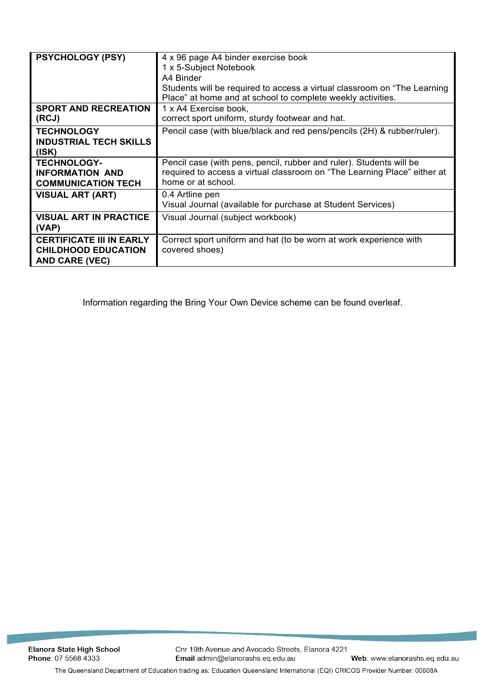| <b>PSYCHOLOGY (PSY)</b>                                                                | 4 x 96 page A4 binder exercise book<br>1 x 5-Subject Notebook<br>A4 Binder<br>Students will be required to access a virtual classroom on "The Learning"<br>Place" at home and at school to complete weekly activities. |
|----------------------------------------------------------------------------------------|------------------------------------------------------------------------------------------------------------------------------------------------------------------------------------------------------------------------|
| <b>SPORT AND RECREATION</b><br>(RCJ)                                                   | 1 x A4 Exercise book,<br>correct sport uniform, sturdy footwear and hat.                                                                                                                                               |
| <b>TECHNOLOGY</b><br><b>INDUSTRIAL TECH SKILLS</b><br>(ISK)                            | Pencil case (with blue/black and red pens/pencils (2H) & rubber/ruler).                                                                                                                                                |
| <b>TECHNOLOGY-</b><br><b>INFORMATION AND</b><br><b>COMMUNICATION TECH</b>              | Pencil case (with pens, pencil, rubber and ruler). Students will be<br>required to access a virtual classroom on "The Learning Place" either at<br>home or at school.                                                  |
| <b>VISUAL ART (ART)</b>                                                                | 0.4 Artline pen<br>Visual Journal (available for purchase at Student Services)                                                                                                                                         |
| <b>VISUAL ART IN PRACTICE</b><br>(VAP)                                                 | Visual Journal (subject workbook)                                                                                                                                                                                      |
| <b>CERTIFICATE III IN EARLY</b><br><b>CHILDHOOD EDUCATION</b><br><b>AND CARE (VEC)</b> | Correct sport uniform and hat (to be worn at work experience with<br>covered shoes)                                                                                                                                    |

Information regarding the Bring Your Own Device scheme can be found overleaf.